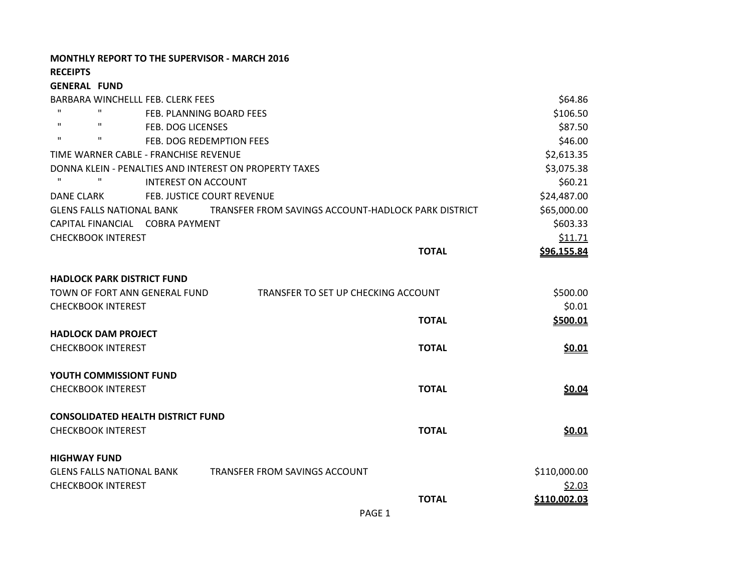**MONTHLY REPORT TO THE SUPERVISOR - MARCH 2016**

**RECEIPTS**

**GENERAL FUND**

BARBARA WINCHELLL FEB. CLERK FEES \$64.86 " PEB. PLANNING BOARD FEES \$106.50 " " FEB. DOG LICENSES \$87.50 " FEB. DOG REDEMPTION FEES \$46.00 TIME WARNER CABLE - FRANCHISE REVENUE **And the set of the set of the set of the set of the set of the set of the set of the set of the set of the set of the set of the set of the set of the set of the set of the set of the** DONNA KLEIN - PENALTIES AND INTEREST ON PROPERTY TAXES **\$3,075.38** \$3,075.38 " " INTEREST ON ACCOUNT \$60.21 DANE CLARK FEB. JUSTICE COURT REVENUE **FEB. 100 FEB. 100 FEB. 324,487.00** GLENS FALLS NATIONAL BANK TRANSFER FROM SAVINGS ACCOUNT-HADLOCK PARK DISTRICT \$65,000.00 CAPITAL FINANCIAL COBRA PAYMENT **\$603.33** CHECKBOOK INTEREST \$11.71 **TOTAL \$96,155.84 HADLOCK PARK DISTRICT FUND** TOWN OF FORT ANN GENERAL FUND TRANSFER TO SET UP CHECKING ACCOUNT \$500.00 CHECKBOOK INTEREST \$0.01 **TOTAL \$500.01 HADLOCK DAM PROJECT** CHECKBOOK INTEREST **TOTAL \$0.01 YOUTH COMMISSIONT FUND** CHECKBOOK INTEREST **TOTAL \$0.04 CONSOLIDATED HEALTH DISTRICT FUND** CHECKBOOK INTEREST **TOTAL \$0.01 HIGHWAY FUND** GLENS FALLS NATIONAL BANK TRANSFER FROM SAVINGS ACCOUNT **FRANCISE ACCOUNT** \$110,000.00 CHECKBOOK INTEREST \$2.03 **TOTAL \$110,002.03**

PAGE 1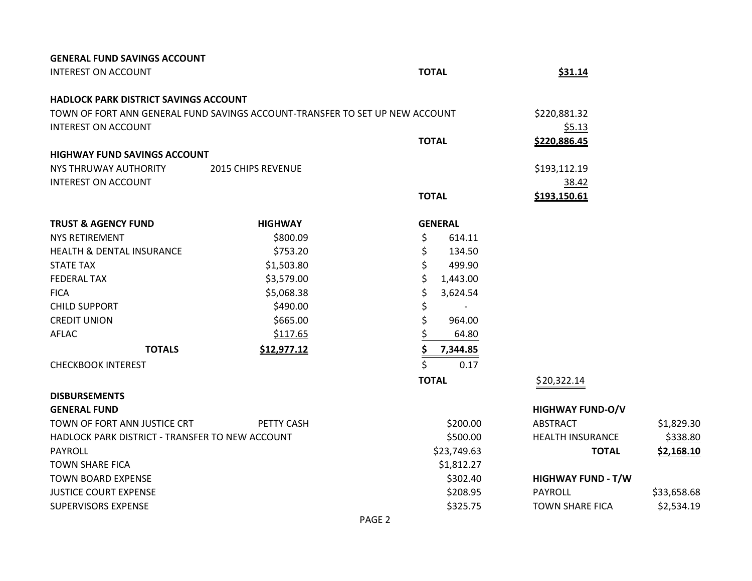| <b>GENERAL FUND SAVINGS ACCOUNT</b>             |                                                                              |                |                           |             |
|-------------------------------------------------|------------------------------------------------------------------------------|----------------|---------------------------|-------------|
| <b>INTEREST ON ACCOUNT</b>                      |                                                                              | <b>TOTAL</b>   | <u>\$31.14</u>            |             |
| <b>HADLOCK PARK DISTRICT SAVINGS ACCOUNT</b>    |                                                                              |                |                           |             |
|                                                 | TOWN OF FORT ANN GENERAL FUND SAVINGS ACCOUNT-TRANSFER TO SET UP NEW ACCOUNT |                | \$220,881.32              |             |
| <b>INTEREST ON ACCOUNT</b>                      |                                                                              |                | \$5.13                    |             |
|                                                 |                                                                              | <b>TOTAL</b>   | \$220,886.45              |             |
| <b>HIGHWAY FUND SAVINGS ACCOUNT</b>             |                                                                              |                |                           |             |
| NYS THRUWAY AUTHORITY                           | <b>2015 CHIPS REVENUE</b>                                                    |                | \$193,112.19              |             |
| <b>INTEREST ON ACCOUNT</b>                      |                                                                              |                | 38.42                     |             |
|                                                 |                                                                              | <b>TOTAL</b>   | \$193,150.61              |             |
| <b>TRUST &amp; AGENCY FUND</b>                  | <b>HIGHWAY</b>                                                               | <b>GENERAL</b> |                           |             |
| <b>NYS RETIREMENT</b>                           | \$800.09                                                                     | \$<br>614.11   |                           |             |
| HEALTH & DENTAL INSURANCE                       | \$753.20                                                                     | \$<br>134.50   |                           |             |
| <b>STATE TAX</b>                                | \$1,503.80                                                                   | \$<br>499.90   |                           |             |
| <b>FEDERAL TAX</b>                              | \$3,579.00                                                                   | \$<br>1,443.00 |                           |             |
| <b>FICA</b>                                     | \$5,068.38                                                                   | \$<br>3,624.54 |                           |             |
| <b>CHILD SUPPORT</b>                            | \$490.00                                                                     | \$             |                           |             |
| <b>CREDIT UNION</b>                             | \$665.00                                                                     | \$<br>964.00   |                           |             |
| <b>AFLAC</b>                                    | \$117.65                                                                     | 64.80          |                           |             |
| <b>TOTALS</b>                                   | \$12,977.12                                                                  | \$<br>7,344.85 |                           |             |
| <b>CHECKBOOK INTEREST</b>                       |                                                                              | \$<br>0.17     |                           |             |
|                                                 |                                                                              | <b>TOTAL</b>   | \$20,322.14               |             |
| <b>DISBURSEMENTS</b>                            |                                                                              |                |                           |             |
| <b>GENERAL FUND</b>                             |                                                                              |                | <b>HIGHWAY FUND-O/V</b>   |             |
| TOWN OF FORT ANN JUSTICE CRT                    | <b>PETTY CASH</b>                                                            | \$200.00       | ABSTRACT                  | \$1,829.30  |
| HADLOCK PARK DISTRICT - TRANSFER TO NEW ACCOUNT |                                                                              | \$500.00       | <b>HEALTH INSURANCE</b>   | \$338.80    |
| PAYROLL                                         |                                                                              | \$23,749.63    | <b>TOTAL</b>              | \$2,168.10  |
| <b>TOWN SHARE FICA</b>                          |                                                                              | \$1,812.27     |                           |             |
| <b>TOWN BOARD EXPENSE</b>                       |                                                                              | \$302.40       | <b>HIGHWAY FUND - T/W</b> |             |
| <b>JUSTICE COURT EXPENSE</b>                    |                                                                              | \$208.95       | <b>PAYROLL</b>            | \$33,658.68 |
| <b>SUPERVISORS EXPENSE</b>                      |                                                                              | \$325.75       | <b>TOWN SHARE FICA</b>    | \$2,534.19  |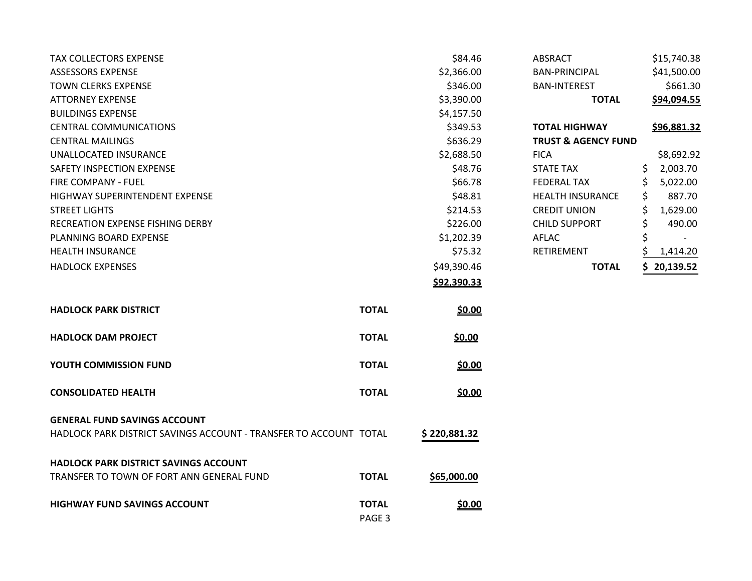| <b>TAX COLLECTORS EXPENSE</b>                                     |                        | \$84.46       | <b>ABSRACT</b>                 |    | \$15,740.38 |
|-------------------------------------------------------------------|------------------------|---------------|--------------------------------|----|-------------|
| <b>ASSESSORS EXPENSE</b>                                          |                        | \$2,366.00    | <b>BAN-PRINCIPAL</b>           |    | \$41,500.00 |
| <b>TOWN CLERKS EXPENSE</b>                                        |                        | \$346.00      | <b>BAN-INTEREST</b>            |    | \$661.30    |
| <b>ATTORNEY EXPENSE</b>                                           |                        | \$3,390.00    | <b>TOTAL</b>                   |    | \$94,094.55 |
| <b>BUILDINGS EXPENSE</b>                                          |                        | \$4,157.50    |                                |    |             |
| <b>CENTRAL COMMUNICATIONS</b>                                     |                        | \$349.53      | <b>TOTAL HIGHWAY</b>           |    | \$96,881.32 |
| <b>CENTRAL MAILINGS</b>                                           |                        | \$636.29      | <b>TRUST &amp; AGENCY FUND</b> |    |             |
| UNALLOCATED INSURANCE                                             |                        | \$2,688.50    | <b>FICA</b>                    |    | \$8,692.92  |
| <b>SAFETY INSPECTION EXPENSE</b>                                  |                        | \$48.76       | <b>STATE TAX</b>               | \$ | 2,003.70    |
| FIRE COMPANY - FUEL                                               |                        | \$66.78       | <b>FEDERAL TAX</b>             | \$ | 5,022.00    |
| HIGHWAY SUPERINTENDENT EXPENSE                                    |                        | \$48.81       | <b>HEALTH INSURANCE</b>        | \$ | 887.70      |
| <b>STREET LIGHTS</b>                                              |                        | \$214.53      | <b>CREDIT UNION</b>            | Ś  | 1,629.00    |
| RECREATION EXPENSE FISHING DERBY                                  |                        | \$226.00      | <b>CHILD SUPPORT</b>           | \$ | 490.00      |
| PLANNING BOARD EXPENSE                                            |                        | \$1,202.39    | <b>AFLAC</b>                   | \$ |             |
| <b>HEALTH INSURANCE</b>                                           |                        | \$75.32       | <b>RETIREMENT</b>              |    | 1,414.20    |
| <b>HADLOCK EXPENSES</b>                                           |                        | \$49,390.46   | <b>TOTAL</b>                   |    | 20,139.52   |
|                                                                   |                        | \$92,390.33   |                                |    |             |
| <b>HADLOCK PARK DISTRICT</b>                                      | <b>TOTAL</b>           | \$0.00        |                                |    |             |
| <b>HADLOCK DAM PROJECT</b>                                        | <b>TOTAL</b>           | \$0.00        |                                |    |             |
| YOUTH COMMISSION FUND                                             | <b>TOTAL</b>           | \$0.00        |                                |    |             |
| <b>CONSOLIDATED HEALTH</b>                                        | <b>TOTAL</b>           | \$0.00        |                                |    |             |
| <b>GENERAL FUND SAVINGS ACCOUNT</b>                               |                        |               |                                |    |             |
| HADLOCK PARK DISTRICT SAVINGS ACCOUNT - TRANSFER TO ACCOUNT TOTAL |                        | \$220,881.32  |                                |    |             |
| <b>HADLOCK PARK DISTRICT SAVINGS ACCOUNT</b>                      |                        |               |                                |    |             |
| TRANSFER TO TOWN OF FORT ANN GENERAL FUND                         | <b>TOTAL</b>           | \$65,000.00   |                                |    |             |
| <b>HIGHWAY FUND SAVINGS ACCOUNT</b>                               | <b>TOTAL</b><br>PAGE 3 | <u>\$0.00</u> |                                |    |             |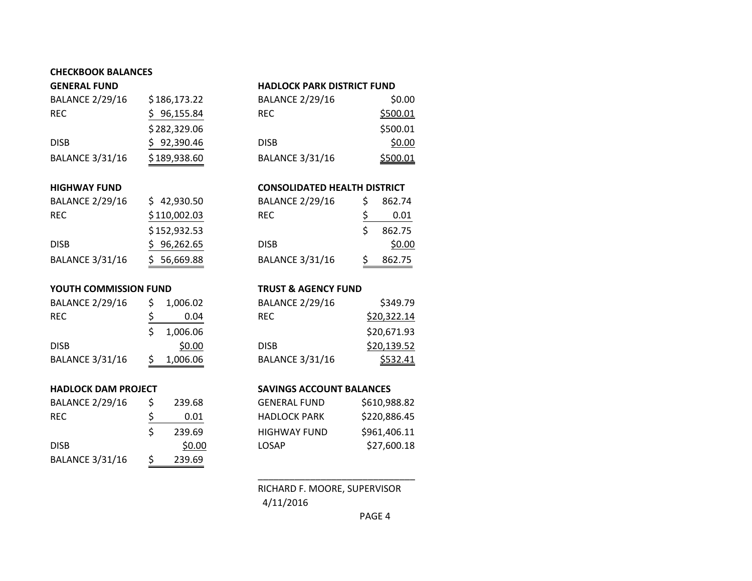# **CHECKBOOK BALANCES**

| <b>GENERAL FUND</b>    |              | <b>HADLOCK PARK DISTRICT FUND</b>   |    |                 |  |
|------------------------|--------------|-------------------------------------|----|-----------------|--|
| <b>BALANCE 2/29/16</b> | \$186,173.22 | <b>BALANCE 2/29/16</b>              |    | \$0.00          |  |
| <b>REC</b>             | 96,155.84    | <b>REC</b>                          |    | \$500.01        |  |
|                        | \$282,329.06 |                                     |    | \$500.01        |  |
| <b>DISB</b>            | 92,390.46    | <b>DISB</b>                         |    | \$0.00          |  |
| <b>BALANCE 3/31/16</b> | \$189,938.60 | <b>BALANCE 3/31/16</b>              |    | <u>\$500.01</u> |  |
|                        |              |                                     |    |                 |  |
| <b>HIGHWAY FUND</b>    |              | <b>CONSOLIDATED HEALTH DISTRICT</b> |    |                 |  |
| <b>BALANCE 2/29/16</b> | \$42,930.50  | <b>BALANCE 2/29/16</b>              | \$ | 862.74          |  |
| <b>REC</b>             | \$110,002.03 | <b>REC</b>                          | Ś. | 0.01            |  |

| RFC.                   | 0.01   |
|------------------------|--------|
|                        | 862.75 |
| <b>DISB</b>            | \$0.00 |
| <b>BALANCE 3/31/16</b> | 862.75 |

### **YOUTH COMMISSION FUND TRUST & AGENCY FUND**

| <b>BALANCE 2/29/16</b> | S  | 1,006.02 |
|------------------------|----|----------|
| <b>REC</b>             | Ś. | 0.04     |
|                        | S. | 1,006.06 |
| <b>DISB</b>            |    | \$0.00   |
| <b>BALANCE 3/31/16</b> | Ś  | 1,006.06 |

DISB \$96,262.65 BALANCE 3/31/16 \$ 56,669.88

 $$152,932.53$ 

| <b>BALANCE 2/29/16</b> | \$ | 239.68 |
|------------------------|----|--------|
| <b>REC</b>             | \$ | 0.01   |
|                        | Ś  | 239.69 |
| <b>DISB</b>            |    | \$0.00 |
| <b>BALANCE 3/31/16</b> | Ś  | 239.69 |

| <b>BALANCE 2/29/16</b> | 1,006.02 | <b>BALANCE 2/29/16</b> | \$349.79    |
|------------------------|----------|------------------------|-------------|
| REC.                   | 0.04     | <b>REC</b>             | \$20,322.14 |
|                        | 1,006.06 |                        | \$20,671.93 |
| disb                   | \$0.00   | <b>DISB</b>            | \$20,139.52 |
| <b>BALANCE 3/31/16</b> | 1,006.06 | <b>BALANCE 3/31/16</b> | \$532.41    |

## **HADLOCK DAM PROJECT SAVINGS ACCOUNT BALANCES**

| <b>BALANCE 2/29/16</b> | 239.68 | <b>GENERAL FUND</b> | \$610,988.82 |
|------------------------|--------|---------------------|--------------|
| REC.                   | 0.01   | <b>HADLOCK PARK</b> | \$220,886.45 |
|                        | 239.69 | <b>HIGHWAY FUND</b> | \$961,406.11 |
| disb                   | \$0.00 | <b>LOSAP</b>        | \$27,600.18  |

RICHARD F. MOORE, SUPERVISOR 4/11/2016

\_\_\_\_\_\_\_\_\_\_\_\_\_\_\_\_\_\_\_\_\_\_\_\_\_\_\_\_\_\_